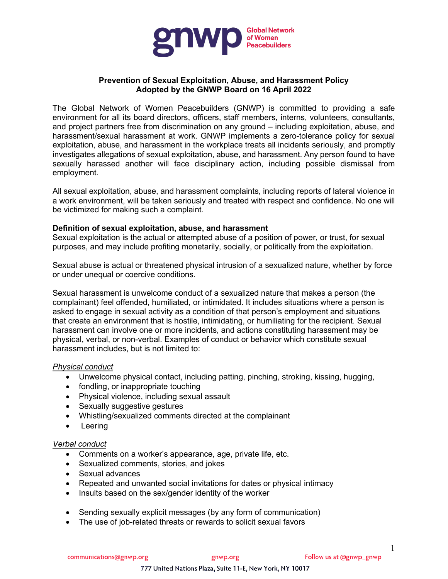

# **Prevention of Sexual Exploitation, Abuse, and Harassment Policy Adopted by the GNWP Board on 16 April 2022**

The Global Network of Women Peacebuilders (GNWP) is committed to providing a safe environment for all its board directors, officers, staff members, interns, volunteers, consultants, and project partners free from discrimination on any ground – including exploitation, abuse, and harassment/sexual harassment at work. GNWP implements a zero-tolerance policy for sexual exploitation, abuse, and harassment in the workplace treats all incidents seriously, and promptly investigates allegations of sexual exploitation, abuse, and harassment. Any person found to have sexually harassed another will face disciplinary action, including possible dismissal from employment.

All sexual exploitation, abuse, and harassment complaints, including reports of lateral violence in a work environment, will be taken seriously and treated with respect and confidence. No one will be victimized for making such a complaint.

### **Definition of sexual exploitation, abuse, and harassment**

Sexual exploitation is the actual or attempted abuse of a position of power, or trust, for sexual purposes, and may include profiting monetarily, socially, or politically from the exploitation.

Sexual abuse is actual or threatened physical intrusion of a sexualized nature, whether by force or under unequal or coercive conditions.

Sexual harassment is unwelcome conduct of a sexualized nature that makes a person (the complainant) feel offended, humiliated, or intimidated. It includes situations where a person is asked to engage in sexual activity as a condition of that person's employment and situations that create an environment that is hostile, intimidating, or humiliating for the recipient. Sexual harassment can involve one or more incidents, and actions constituting harassment may be physical, verbal, or non-verbal. Examples of conduct or behavior which constitute sexual harassment includes, but is not limited to:

### *Physical conduct*

- Unwelcome physical contact, including patting, pinching, stroking, kissing, hugging,
- fondling, or inappropriate touching
- Physical violence, including sexual assault
- Sexually suggestive gestures
- Whistling/sexualized comments directed at the complainant
- Leering

### *Verbal conduct*

- Comments on a worker's appearance, age, private life, etc.
- Sexualized comments, stories, and jokes
- Sexual advances
- Repeated and unwanted social invitations for dates or physical intimacy
- Insults based on the sex/gender identity of the worker
- Sending sexually explicit messages (by any form of communication)
- The use of job-related threats or rewards to solicit sexual favors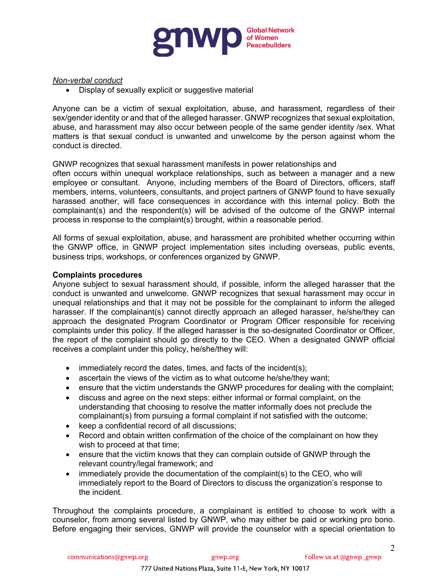

### *Non-verbal conduct*

• Display of sexually explicit or suggestive material

Anyone can be a victim of sexual exploitation, abuse, and harassment, regardless of their sex/gender identity or and that of the alleged harasser. GNWP recognizes that sexual exploitation, abuse, and harassment may also occur between people of the same gender identity /sex. What matters is that sexual conduct is unwanted and unwelcome by the person against whom the conduct is directed.

### GNWP recognizes that sexual harassment manifests in power relationships and

often occurs within unequal workplace relationships, such as between a manager and a new employee or consultant. Anyone, including members of the Board of Directors, officers, staff members, interns, volunteers, consultants, and project partners of GNWP found to have sexually harassed another, will face consequences in accordance with this internal policy. Both the complainant(s) and the respondent(s) will be advised of the outcome of the GNWP internal process in response to the complaint(s) brought, within a reasonable period.

All forms of sexual exploitation, abuse, and harassment are prohibited whether occurring within the GNWP office, in GNWP project implementation sites including overseas, public events, business trips, workshops, or conferences organized by GNWP.

### **Complaints procedures**

Anyone subject to sexual harassment should, if possible, inform the alleged harasser that the conduct is unwanted and unwelcome. GNWP recognizes that sexual harassment may occur in unequal relationships and that it may not be possible for the complainant to inform the alleged harasser. If the complainant(s) cannot directly approach an alleged harasser, he/she/they can approach the designated Program Coordinator or Program Officer responsible for receiving complaints under this policy. If the alleged harasser is the so-designated Coordinator or Officer, the report of the complaint should go directly to the CEO. When a designated GNWP official receives a complaint under this policy, he/she/they will:

- immediately record the dates, times, and facts of the incident(s);
- ascertain the views of the victim as to what outcome he/she/they want;
- ensure that the victim understands the GNWP procedures for dealing with the complaint;
- discuss and agree on the next steps: either informal or formal complaint, on the understanding that choosing to resolve the matter informally does not preclude the complainant(s) from pursuing a formal complaint if not satisfied with the outcome;
- keep a confidential record of all discussions;
- Record and obtain written confirmation of the choice of the complainant on how they wish to proceed at that time;
- ensure that the victim knows that they can complain outside of GNWP through the relevant country/legal framework; and
- immediately provide the documentation of the complaint(s) to the CEO, who will immediately report to the Board of Directors to discuss the organization's response to the incident.

Throughout the complaints procedure, a complainant is entitled to choose to work with a counselor, from among several listed by GNWP, who may either be paid or working pro bono. Before engaging their services, GNWP will provide the counselor with a special orientation to

 $\mathcal{L}$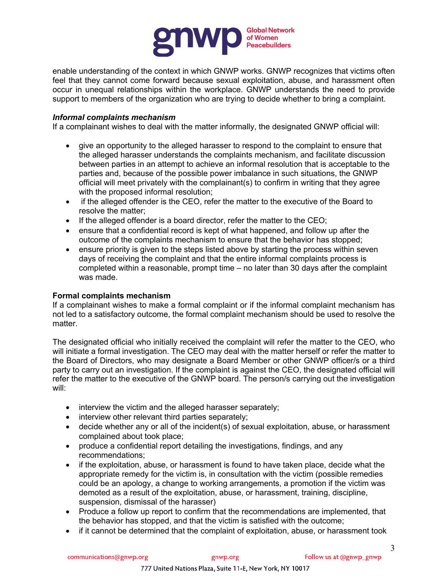

enable understanding of the context in which GNWP works. GNWP recognizes that victims often feel that they cannot come forward because sexual exploitation, abuse, and harassment often occur in unequal relationships within the workplace. GNWP understands the need to provide support to members of the organization who are trying to decide whether to bring a complaint.

## *Informal complaints mechanism*

If a complainant wishes to deal with the matter informally, the designated GNWP official will:

- give an opportunity to the alleged harasser to respond to the complaint to ensure that the alleged harasser understands the complaints mechanism, and facilitate discussion between parties in an attempt to achieve an informal resolution that is acceptable to the parties and, because of the possible power imbalance in such situations, the GNWP official will meet privately with the complainant(s) to confirm in writing that they agree with the proposed informal resolution;
- if the alleged offender is the CEO, refer the matter to the executive of the Board to resolve the matter;
- If the alleged offender is a board director, refer the matter to the CEO;
- ensure that a confidential record is kept of what happened, and follow up after the outcome of the complaints mechanism to ensure that the behavior has stopped;
- ensure priority is given to the steps listed above by starting the process within seven days of receiving the complaint and that the entire informal complaints process is completed within a reasonable, prompt time – no later than 30 days after the complaint was made.

### **Formal complaints mechanism**

If a complainant wishes to make a formal complaint or if the informal complaint mechanism has not led to a satisfactory outcome, the formal complaint mechanism should be used to resolve the matter.

The designated official who initially received the complaint will refer the matter to the CEO, who will initiate a formal investigation. The CEO may deal with the matter herself or refer the matter to the Board of Directors, who may designate a Board Member or other GNWP officer/s or a third party to carry out an investigation. If the complaint is against the CEO, the designated official will refer the matter to the executive of the GNWP board. The person/s carrying out the investigation will:

- interview the victim and the alleged harasser separately;
- interview other relevant third parties separately;
- decide whether any or all of the incident(s) of sexual exploitation, abuse, or harassment complained about took place;
- produce a confidential report detailing the investigations, findings, and any recommendations;
- if the exploitation, abuse, or harassment is found to have taken place, decide what the appropriate remedy for the victim is, in consultation with the victim (possible remedies could be an apology, a change to working arrangements, a promotion if the victim was demoted as a result of the exploitation, abuse, or harassment, training, discipline, suspension, dismissal of the harasser)
- Produce a follow up report to confirm that the recommendations are implemented, that the behavior has stopped, and that the victim is satisfied with the outcome;
- if it cannot be determined that the complaint of exploitation, abuse, or harassment took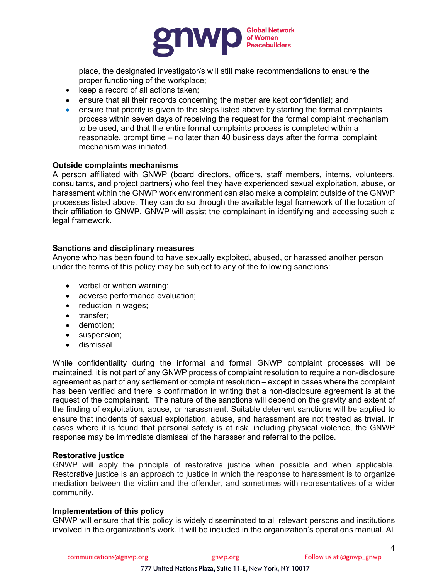

place, the designated investigator/s will still make recommendations to ensure the proper functioning of the workplace;

- keep a record of all actions taken;
- ensure that all their records concerning the matter are kept confidential; and
- ensure that priority is given to the steps listed above by starting the formal complaints process within seven days of receiving the request for the formal complaint mechanism to be used, and that the entire formal complaints process is completed within a reasonable, prompt time – no later than 40 business days after the formal complaint mechanism was initiated.

## **Outside complaints mechanisms**

A person affiliated with GNWP (board directors, officers, staff members, interns, volunteers, consultants, and project partners) who feel they have experienced sexual exploitation, abuse, or harassment within the GNWP work environment can also make a complaint outside of the GNWP processes listed above. They can do so through the available legal framework of the location of their affiliation to GNWP. GNWP will assist the complainant in identifying and accessing such a legal framework.

### **Sanctions and disciplinary measures**

Anyone who has been found to have sexually exploited, abused, or harassed another person under the terms of this policy may be subject to any of the following sanctions:

- verbal or written warning;
- adverse performance evaluation;
- reduction in wages;
- transfer;
- demotion;
- suspension;
- dismissal

While confidentiality during the informal and formal GNWP complaint processes will be maintained, it is not part of any GNWP process of complaint resolution to require a non-disclosure agreement as part of any settlement or complaint resolution – except in cases where the complaint has been verified and there is confirmation in writing that a non-disclosure agreement is at the request of the complainant. The nature of the sanctions will depend on the gravity and extent of the finding of exploitation, abuse, or harassment. Suitable deterrent sanctions will be applied to ensure that incidents of sexual exploitation, abuse, and harassment are not treated as trivial. In cases where it is found that personal safety is at risk, including physical violence, the GNWP response may be immediate dismissal of the harasser and referral to the police.

### **Restorative justice**

GNWP will apply the principle of restorative justice when possible and when applicable. Restorative justice is an approach to justice in which the response to harassment is to organize mediation between the victim and the offender, and sometimes with representatives of a wider community.

### **Implementation of this policy**

GNWP will ensure that this policy is widely disseminated to all relevant persons and institutions involved in the organization's work. It will be included in the organization's operations manual. All